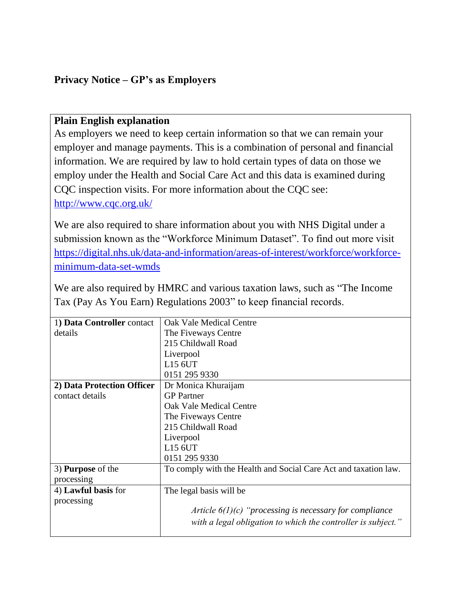## **Privacy Notice – GP's as Employers**

## **Plain English explanation**

As employers we need to keep certain information so that we can remain your employer and manage payments. This is a combination of personal and financial information. We are required by law to hold certain types of data on those we employ under the Health and Social Care Act and this data is examined during CQC inspection visits. For more information about the CQC see: <http://www.cqc.org.uk/>

We are also required to share information about you with NHS Digital under a submission known as the "Workforce Minimum Dataset". To find out more visit [https://digital.nhs.uk/data-and-information/areas-of-interest/workforce/workforce](https://digital.nhs.uk/data-and-information/areas-of-interest/workforce/workforce-minimum-data-set-wmds)[minimum-data-set-wmds](https://digital.nhs.uk/data-and-information/areas-of-interest/workforce/workforce-minimum-data-set-wmds)

We are also required by HMRC and various taxation laws, such as "The Income Tax (Pay As You Earn) Regulations 2003" to keep financial records.

| 1) Data Controller contact | <b>Oak Vale Medical Centre</b>                                  |
|----------------------------|-----------------------------------------------------------------|
| details                    | The Fiveways Centre                                             |
|                            | 215 Childwall Road                                              |
|                            | Liverpool                                                       |
|                            | L15 6UT                                                         |
|                            | 0151 295 9330                                                   |
| 2) Data Protection Officer | Dr Monica Khuraijam                                             |
| contact details            | <b>GP</b> Partner                                               |
|                            | <b>Oak Vale Medical Centre</b>                                  |
|                            | The Fiveways Centre                                             |
|                            | 215 Childwall Road                                              |
|                            | Liverpool                                                       |
|                            | L15 6UT                                                         |
|                            | 0151 295 9330                                                   |
| 3) <b>Purpose</b> of the   | To comply with the Health and Social Care Act and taxation law. |
| processing                 |                                                                 |
| 4) Lawful basis for        | The legal basis will be                                         |
| processing                 |                                                                 |
|                            | Article $6(1)(c)$ "processing is necessary for compliance       |
|                            | with a legal obligation to which the controller is subject."    |
|                            |                                                                 |